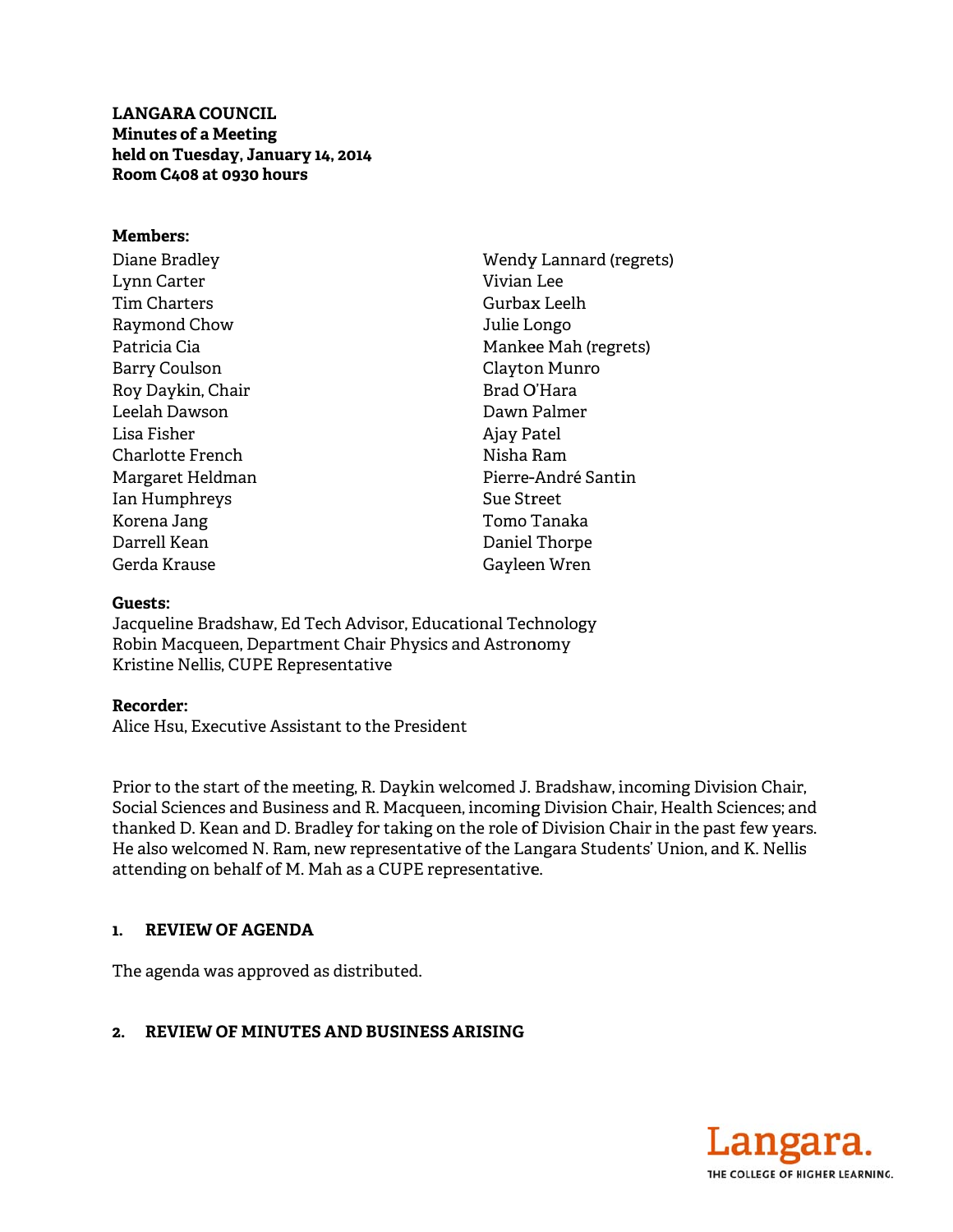**LANGARA COUNCIL Minutes of a Meeting** held on Tuesday, January 14, 2014 Room C408 at 0930 hours

#### Members:

Diane Bradley Lynn Carter Tim Charters Raymond Chow Patricia Cia **Barry Coulson** Roy Daykin, Chair Leelah Dawson Lisa Fisher Charlotte French Margaret Heldman Ian Humphreys Korena Jang Darrell Kean Gerda Krause

Wendy Lannard (regrets) Vivian Lee Gurbax Leelh Julie Longo Mankee Mah (regrets) Clayton Munro Brad O'Hara Dawn Palmer Ajay Patel Nisha Ram Pierre-André Santin Sue Street Tomo Tanaka Daniel Thorpe Gayleen Wren

## Guests:

Jacqueline Bradshaw, Ed Tech Advisor, Educational Technology Robin Macqueen, Department Chair Physics and Astronomy Kristine Nellis, CUPE Representative

#### Recorder:

Alice Hsu. Executive Assistant to the President

Prior to the start of the meeting, R. Daykin welcomed J. Bradshaw, incoming Division Chair, Social Sciences and Business and R. Macqueen, incoming Division Chair, Health Sciences; and thanked D. Kean and D. Bradley for taking on the role of Division Chair in the past few years. He also welcomed N. Ram, new representative of the Langara Students' Union, and K. Nellis attending on behalf of M. Mah as a CUPE representative.

#### 1. REVIEW OF AGENDA

The agenda was approved as distributed.

## 2. REVIEW OF MINUTES AND BUSINESS ARISING

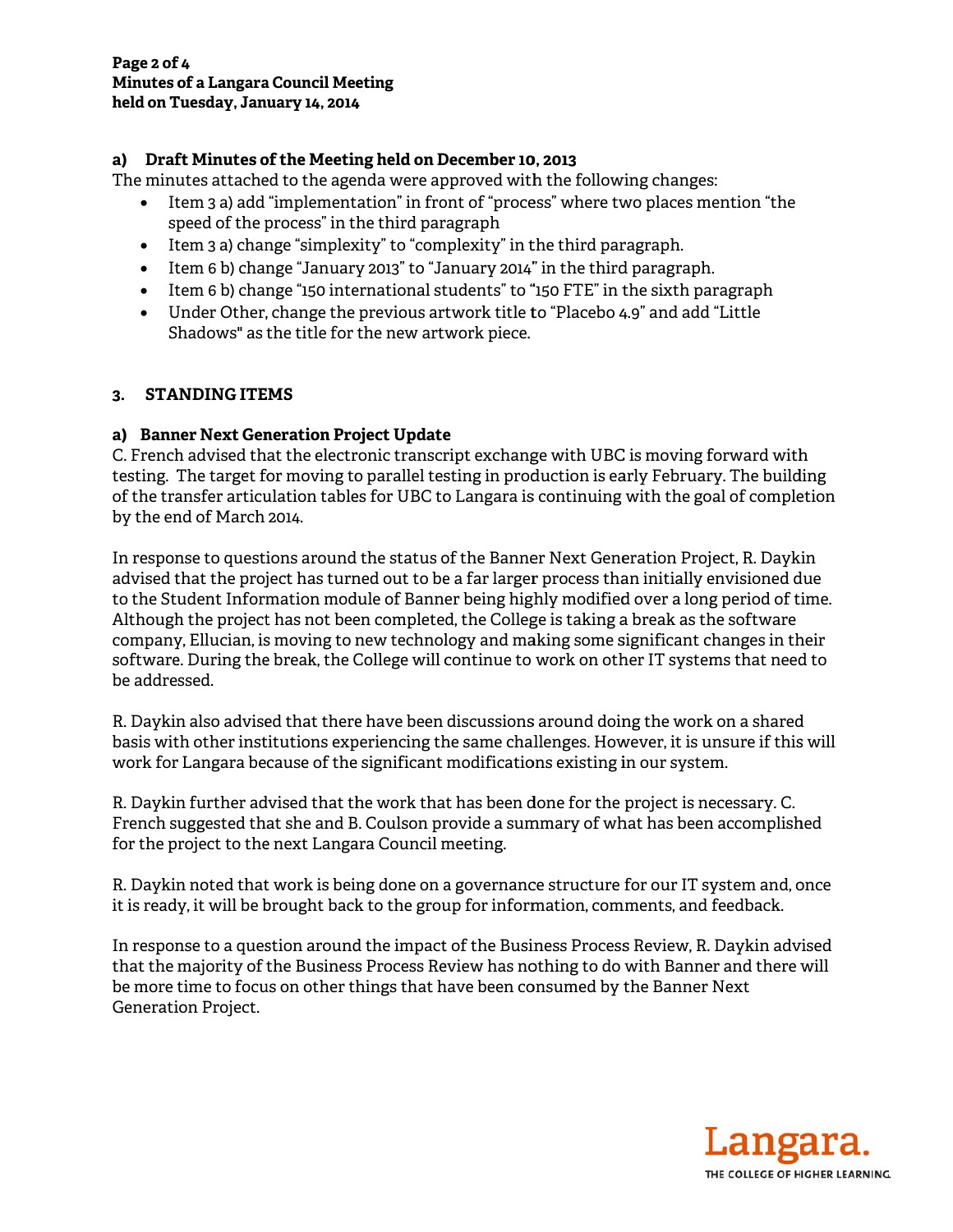# a) Draft Minutes of the Meeting held on December 10, 2013

The minutes attached to the agenda were approved with the following changes:

- Item 3 a) add "implementation" in front of "process" where two places mention "the speed of the process" in the third paragraph
- Item  $3a$ ) change "simplexity" to "complexity" in the third paragraph.
- Item 6 b) change "January 2013" to "January 2014" in the third paragraph.
- Item 6 b) change "150 international students" to "150 FTE" in the sixth paragraph
- Under Other, change the previous artwork title to "Placebo 4.9" and add "Little Shadows" as the title for the new artwork piece.

## 3. STANDING ITEMS

# a) Banner Next Generation Project Update

C. French advised that the electronic transcript exchange with UBC is moving forward with testing. The target for moving to parallel testing in production is early February. The building of the transfer articulation tables for UBC to Langara is continuing with the goal of completion by the end of March 2014.

In response to questions around the status of the Banner Next Generation Project, R. Daykin advised that the project has turned out to be a far larger process than initially envisioned due to the Student Information module of Banner being highly modified over a long period of time. Although the project has not been completed, the College is taking a break as the software company, Ellucian, is moving to new technology and making some significant changes in their software. During the break, the College will continue to work on other IT systems that need to be addressed.

R. Daykin also advised that there have been discussions around doing the work on a shared basis with other institutions experiencing the same challenges. However, it is unsure if this will work for Langara because of the significant modifications existing in our system.

R. Daykin further advised that the work that has been done for the project is necessary. C. French suggested that she and B. Coulson provide a summary of what has been accomplished for the project to the next Langara Council meeting.

R. Daykin noted that work is being done on a governance structure for our IT system and, once it is ready, it will be brought back to the group for information, comments, and feedback.

In response to a question around the impact of the Business Process Review, R. Daykin advised that the majority of the Business Process Review has nothing to do with Banner and there will be more time to focus on other things that have been consumed by the Banner Next **Generation Project.** 

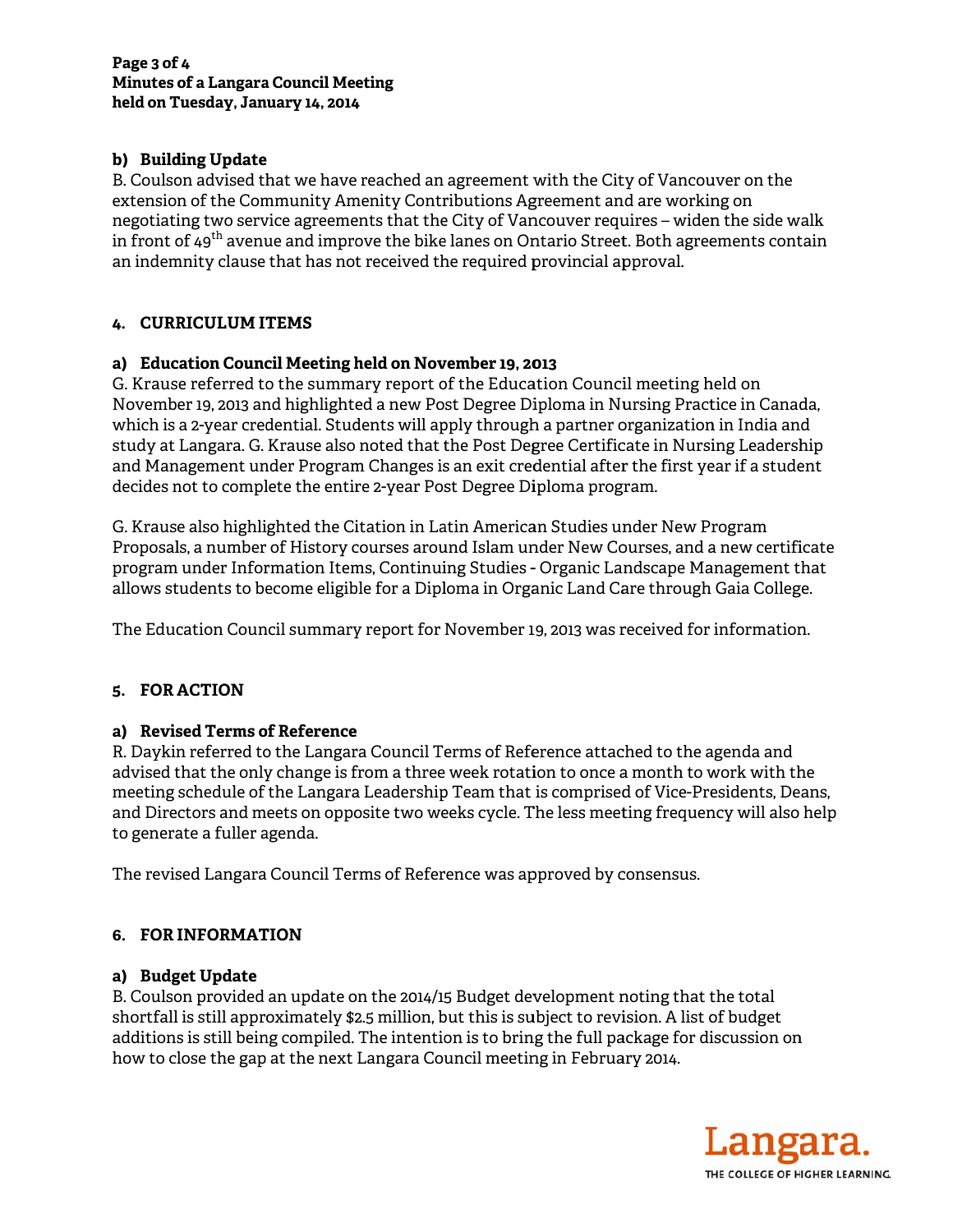# **b) Build ding Update**

B. Coulson advised that we have reached an agreement with the City of Vancouver on the extension of the Community Amenity Contributions Agreement and are working on negotiating two service agreements that the City of Vancouver requires – widen the side walk in front of 49<sup>th</sup> avenue and improve the bike lanes on Ontario Street. Both agreements contain an indemnity clause that has not received the required provincial approval.

# **4. CURR RICULUM IT TEMS**

## **a) Educ cation Counc cil Meeting h held on Nov vember 19, 20 013**

G. Krause referred to the summary report of the Education Council meeting held on November 19, 2013 and highlighted a new Post Degree Diploma in Nursing Practice in Canada, which is a 2-year credential. Students will apply through a partner organization in India and study at Langara. G. Krause also noted that the Post Degree Certificate in Nursing Leadership and Management under Program Changes is an exit credential after the first year if a student decides not to complete the entire 2-year Post Degree Diploma program.

G. Krause also highlighted the Citation in Latin American Studies under New Program Proposals, a number of History courses around Islam under New Courses, and a new certificate program under Information Items, Continuing Studies - Organic Landscape Management that allows students to become eligible for a Diploma in Organic Land Care through Gaia College.

The Education Council summary report for November 19, 2013 was received for information.

## **5. FOR A ACTION**

## **a) Revis sed Terms o of Reference e**

R. Daykin referred to the Langara Council Terms of Reference attached to the agenda and advised that the only change is from a three week rotation to once a month to work with the meeting schedule of the Langara Leadership Team that is comprised of Vice-Presidents, Deans, and Directors and meets on opposite two weeks cycle. The less meeting frequency will also help to generate a fuller agenda.

The revised Langara Council Terms of Reference was approved by consensus.

## **6. FOR I INFORMAT TION**

## **a) Budg get Update**

B. Coulson provided an update on the 2014/15 Budget development noting that the total shortfall is still approximately \$2.5 million, but this is subject to revision. A list of budget additions is still being compiled. The intention is to bring the full package for discussion on how to close the gap at the next Langara Council meeting in February 2014.